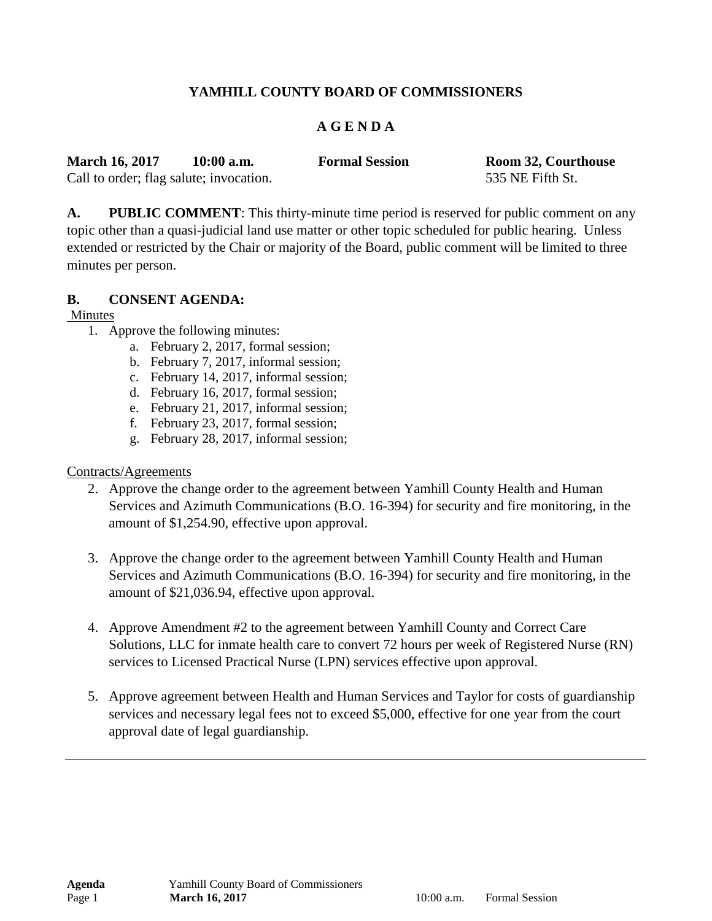# **YAMHILL COUNTY BOARD OF COMMISSIONERS**

## **A G E N D A**

| <b>March 16, 2017</b>                   | $10:00$ a.m. | <b>Formal Session</b> | Room 32, Courthouse |
|-----------------------------------------|--------------|-----------------------|---------------------|
| Call to order; flag salute; invocation. |              |                       | 535 NE Fifth St.    |

**A. PUBLIC COMMENT**: This thirty-minute time period is reserved for public comment on any topic other than a quasi-judicial land use matter or other topic scheduled for public hearing. Unless extended or restricted by the Chair or majority of the Board, public comment will be limited to three minutes per person.

### **B. CONSENT AGENDA:**

### Minutes

- 1. Approve the following minutes:
	- a. February 2, 2017, formal session;
	- b. February 7, 2017, informal session;
	- c. February 14, 2017, informal session;
	- d. February 16, 2017, formal session;
	- e. February 21, 2017, informal session;
	- f. February 23, 2017, formal session;
	- g. February 28, 2017, informal session;

## Contracts/Agreements

- 2. Approve the change order to the agreement between Yamhill County Health and Human Services and Azimuth Communications (B.O. 16-394) for security and fire monitoring, in the amount of \$1,254.90, effective upon approval.
- 3. Approve the change order to the agreement between Yamhill County Health and Human Services and Azimuth Communications (B.O. 16-394) for security and fire monitoring, in the amount of \$21,036.94, effective upon approval.
- 4. Approve Amendment #2 to the agreement between Yamhill County and Correct Care Solutions, LLC for inmate health care to convert 72 hours per week of Registered Nurse (RN) services to Licensed Practical Nurse (LPN) services effective upon approval.
- 5. Approve agreement between Health and Human Services and Taylor for costs of guardianship services and necessary legal fees not to exceed \$5,000, effective for one year from the court approval date of legal guardianship.